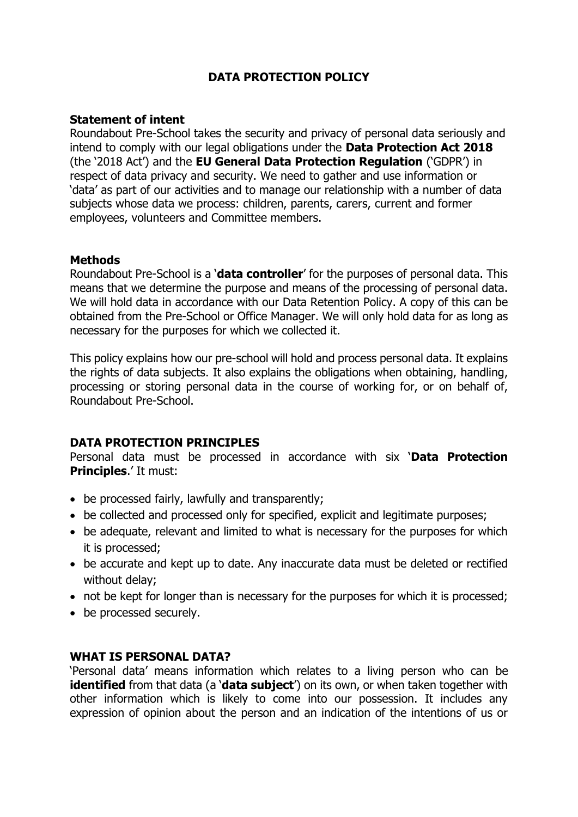# **DATA PROTECTION POLICY**

### **Statement of intent**

Roundabout Pre-School takes the security and privacy of personal data seriously and intend to comply with our legal obligations under the **Data Protection Act 2018** (the '2018 Act') and the **EU General Data Protection Regulation** ('GDPR') in respect of data privacy and security. We need to gather and use information or 'data' as part of our activities and to manage our relationship with a number of data subjects whose data we process: children, parents, carers, current and former employees, volunteers and Committee members.

### **Methods**

Roundabout Pre-School is a '**data controller**' for the purposes of personal data. This means that we determine the purpose and means of the processing of personal data. We will hold data in accordance with our Data Retention Policy. A copy of this can be obtained from the Pre-School or Office Manager. We will only hold data for as long as necessary for the purposes for which we collected it.

This policy explains how our pre-school will hold and process personal data. It explains the rights of data subjects. It also explains the obligations when obtaining, handling, processing or storing personal data in the course of working for, or on behalf of, Roundabout Pre-School.

# **DATA PROTECTION PRINCIPLES**

Personal data must be processed in accordance with six '**Data Protection Principles**.' It must:

- be processed fairly, lawfully and transparently;
- be collected and processed only for specified, explicit and legitimate purposes;
- be adequate, relevant and limited to what is necessary for the purposes for which it is processed;
- be accurate and kept up to date. Any inaccurate data must be deleted or rectified without delay;
- not be kept for longer than is necessary for the purposes for which it is processed;
- be processed securely.

# **WHAT IS PERSONAL DATA?**

'Personal data' means information which relates to a living person who can be **identified** from that data (a '**data subject**') on its own, or when taken together with other information which is likely to come into our possession. It includes any expression of opinion about the person and an indication of the intentions of us or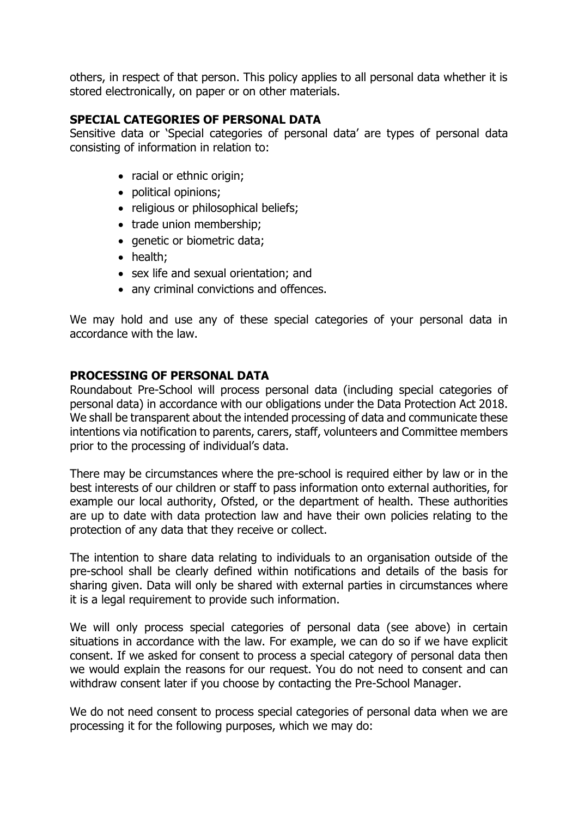others, in respect of that person. This policy applies to all personal data whether it is stored electronically, on paper or on other materials.

# **SPECIAL CATEGORIES OF PERSONAL DATA**

Sensitive data or 'Special categories of personal data' are types of personal data consisting of information in relation to:

- racial or ethnic origin;
- political opinions;
- religious or philosophical beliefs;
- trade union membership;
- genetic or biometric data;
- health;
- sex life and sexual orientation; and
- any criminal convictions and offences.

We may hold and use any of these special categories of your personal data in accordance with the law.

# **PROCESSING OF PERSONAL DATA**

Roundabout Pre-School will process personal data (including special categories of personal data) in accordance with our obligations under the Data Protection Act 2018. We shall be transparent about the intended processing of data and communicate these intentions via notification to parents, carers, staff, volunteers and Committee members prior to the processing of individual's data.

There may be circumstances where the pre-school is required either by law or in the best interests of our children or staff to pass information onto external authorities, for example our local authority, Ofsted, or the department of health. These authorities are up to date with data protection law and have their own policies relating to the protection of any data that they receive or collect.

The intention to share data relating to individuals to an organisation outside of the pre-school shall be clearly defined within notifications and details of the basis for sharing given. Data will only be shared with external parties in circumstances where it is a legal requirement to provide such information.

We will only process special categories of personal data (see above) in certain situations in accordance with the law. For example, we can do so if we have explicit consent. If we asked for consent to process a special category of personal data then we would explain the reasons for our request. You do not need to consent and can withdraw consent later if you choose by contacting the Pre-School Manager.

We do not need consent to process special categories of personal data when we are processing it for the following purposes, which we may do: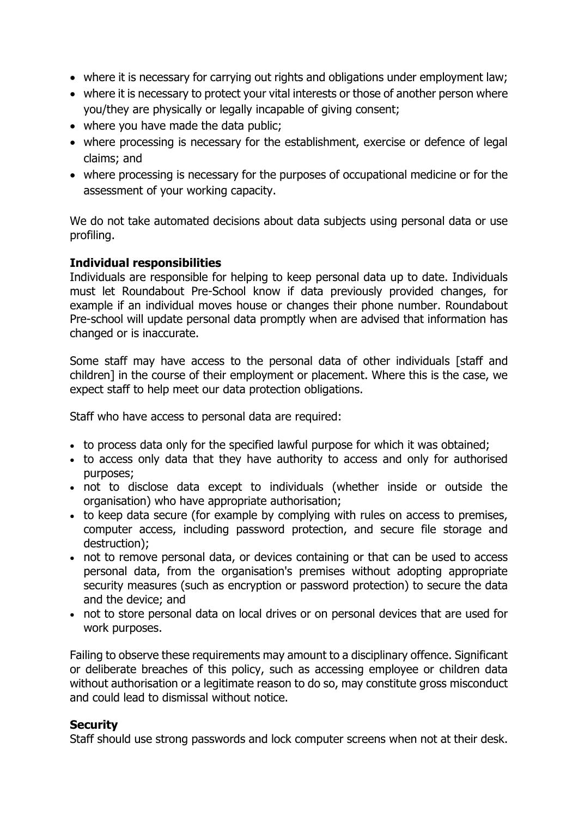- where it is necessary for carrying out rights and obligations under employment law;
- where it is necessary to protect your vital interests or those of another person where you/they are physically or legally incapable of giving consent;
- where you have made the data public;
- where processing is necessary for the establishment, exercise or defence of legal claims; and
- where processing is necessary for the purposes of occupational medicine or for the assessment of your working capacity.

We do not take automated decisions about data subjects using personal data or use profiling.

# **Individual responsibilities**

Individuals are responsible for helping to keep personal data up to date. Individuals must let Roundabout Pre-School know if data previously provided changes, for example if an individual moves house or changes their phone number. Roundabout Pre-school will update personal data promptly when are advised that information has changed or is inaccurate.

Some staff may have access to the personal data of other individuals [staff and children] in the course of their employment or placement. Where this is the case, we expect staff to help meet our data protection obligations.

Staff who have access to personal data are required:

- to process data only for the specified lawful purpose for which it was obtained;
- to access only data that they have authority to access and only for authorised purposes;
- not to disclose data except to individuals (whether inside or outside the organisation) who have appropriate authorisation;
- to keep data secure (for example by complying with rules on access to premises, computer access, including password protection, and secure file storage and destruction);
- not to remove personal data, or devices containing or that can be used to access personal data, from the organisation's premises without adopting appropriate security measures (such as encryption or password protection) to secure the data and the device; and
- not to store personal data on local drives or on personal devices that are used for work purposes.

Failing to observe these requirements may amount to a disciplinary offence. Significant or deliberate breaches of this policy, such as accessing employee or children data without authorisation or a legitimate reason to do so, may constitute gross misconduct and could lead to dismissal without notice.

# **Security**

Staff should use strong passwords and lock computer screens when not at their desk.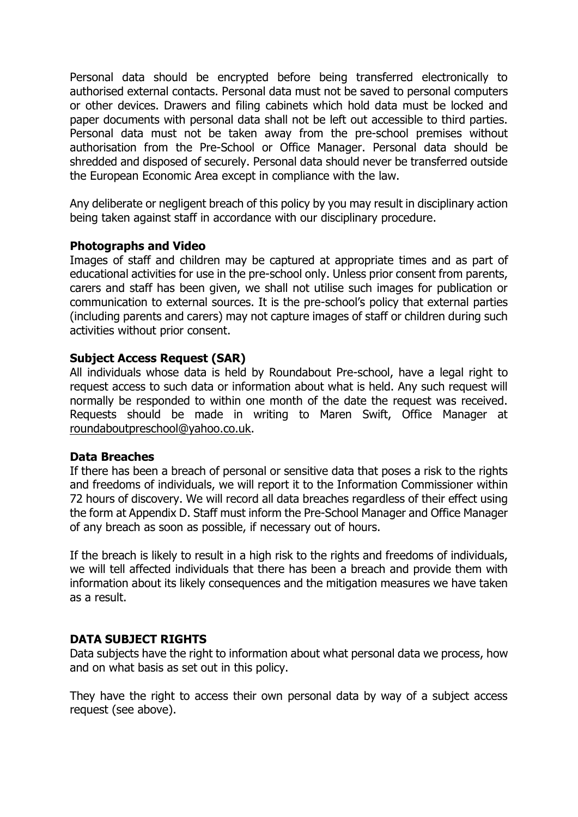Personal data should be encrypted before being transferred electronically to authorised external contacts. Personal data must not be saved to personal computers or other devices. Drawers and filing cabinets which hold data must be locked and paper documents with personal data shall not be left out accessible to third parties. Personal data must not be taken away from the pre-school premises without authorisation from the Pre-School or Office Manager. Personal data should be shredded and disposed of securely. Personal data should never be transferred outside the European Economic Area except in compliance with the law.

Any deliberate or negligent breach of this policy by you may result in disciplinary action being taken against staff in accordance with our disciplinary procedure.

### **Photographs and Video**

Images of staff and children may be captured at appropriate times and as part of educational activities for use in the pre-school only. Unless prior consent from parents, carers and staff has been given, we shall not utilise such images for publication or communication to external sources. It is the pre-school's policy that external parties (including parents and carers) may not capture images of staff or children during such activities without prior consent.

### **Subject Access Request (SAR)**

All individuals whose data is held by Roundabout Pre-school, have a legal right to request access to such data or information about what is held. Any such request will normally be responded to within one month of the date the request was received. Requests should be made in writing to Maren Swift, Office Manager at [roundaboutpreschool@yahoo.co.uk.](mailto:roundaboutpreschool@yahoo.co.uk)

### **Data Breaches**

If there has been a breach of personal or sensitive data that poses a risk to the rights and freedoms of individuals, we will report it to the Information Commissioner within 72 hours of discovery. We will record all data breaches regardless of their effect using the form at Appendix D. Staff must inform the Pre-School Manager and Office Manager of any breach as soon as possible, if necessary out of hours.

If the breach is likely to result in a high risk to the rights and freedoms of individuals, we will tell affected individuals that there has been a breach and provide them with information about its likely consequences and the mitigation measures we have taken as a result.

# **DATA SUBJECT RIGHTS**

Data subjects have the right to information about what personal data we process, how and on what basis as set out in this policy.

They have the right to access their own personal data by way of a subject access request (see above).